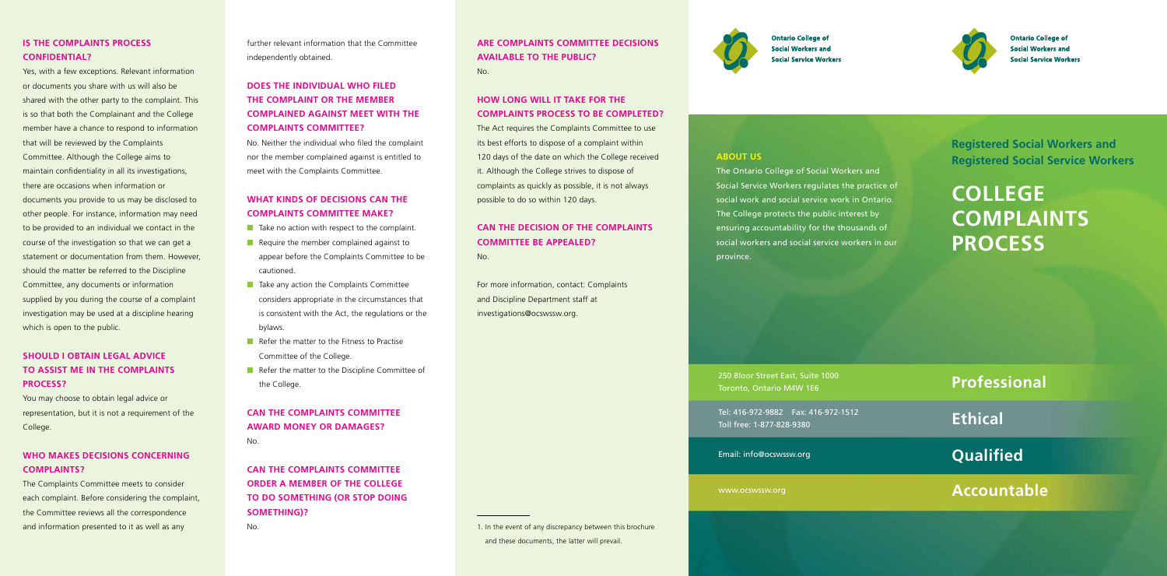**Registered Social Workers and Registered Social Service Workers**

**COLLEGE COMPLAINTS PROCESS**

**ABOUT US**

The Ontario College of Social Workers and Social Service Workers regulates the practice of social work and social service work in Ontario. ensuring accountability for the thousands of social workers and social service workers in our

The College protects the public interest by province.

250 Bloor Street East, Suite 1000 Toronto, Ontario M4W 1E6

Tel: 416-972-9882 Fax: 416-972-1512 Toll free: 1-877-828-9380

Email: info@ocswssw.org

www.ocswssw.org

## **Professional**

**Ethical**

**Qualified**

# **Accountable**

## **IS THE COMPLAINTS PROCESS CONFIDENTIAL?**

Yes, with a few exceptions. Relevant information or documents you share with us will also be shared with the other party to the complaint. This is so that both the Complainant and the College member have a chance to respond to information that will be reviewed by the Complaints Committee. Although the College aims to maintain confidentiality in all its investigations, there are occasions when information or documents you provide to us may be disclosed to other people. For instance, information may need to be provided to an individual we contact in the course of the investigation so that we can get a statement or documentation from them. However, should the matter be referred to the Discipline Committee, any documents or information supplied by you during the course of a complaint investigation may be used at a discipline hearing which is open to the public.

- Take no action with respect to the complaint.
- Require the member complained against to appear before the Complaints Committee to be cautioned.
- Take any action the Complaints Committee considers appropriate in the circumstances that is consistent with the Act, the regulations or the bylaws.
- Refer the matter to the Fitness to Practise Committee of the College.
- Refer the matter to the Discipline Committee of the College.

## **SHOULD I OBTAIN LEGAL ADVICE TO ASSIST ME IN THE COMPLAINTS PROCESS?**

You may choose to obtain legal advice or representation, but it is not a requirement of the College.

## **WHO MAKES DECISIONS CONCERNING COMPLAINTS?**

The Complaints Committee meets to consider each complaint. Before considering the complaint, the Committee reviews all the correspondence and information presented to it as well as any

further relevant information that the Committee independently obtained.

## **DOES THE INDIVIDUAL WHO FILED THE COMPLAINT OR THE MEMBER COMPLAINED AGAINST MEET WITH THE COMPLAINTS COMMITTEE?**

No. Neither the individual who filed the complaint nor the member complained against is entitled to meet with the Complaints Committee.

## **WHAT KINDS OF DECISIONS CAN THE COMPLAINTS COMMITTEE MAKE?**

## **CAN THE COMPLAINTS COMMITTEE AWARD MONEY OR DAMAGES?** No.

**CAN THE COMPLAINTS COMMITTEE ORDER A MEMBER OF THE COLLEGE TO DO SOMETHING (OR STOP DOING SOMETHING)?**

No.

## **ARE COMPLAINTS COMMITTEE DECISIONS AVAILABLE TO THE PUBLIC?** No.

## **HOW LONG WILL IT TAKE FOR THE COMPLAINTS PROCESS TO BE COMPLETED?**

The Act requires the Complaints Committee to use its best efforts to dispose of a complaint within 120 days of the date on which the College received it. Although the College strives to dispose of complaints as quickly as possible, it is not always possible to do so within 120 days.

## **CAN THE DECISION OF THE COMPLAINTS COMMITTEE BE APPEALED?** No.

For more information, contact: Complaints and Discipline Department staff at investigations@ocswssw.org.

1. In the event of any discrepancy between this brochure and these documents, the latter will prevail.



**Ontario College of Social Workers and Social Service Workers** 



**Ontario College of Social Workers and Social Service Workers**